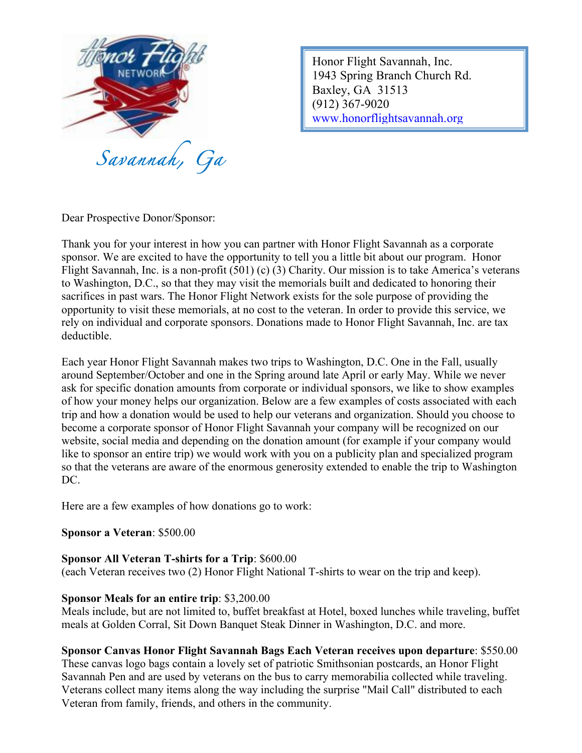

Honor Flight Savannah, Inc. 1943 Spring Branch Church Rd. Baxley, GA 31513 (912) 367-9020 www.honorflightsavannah.org

Dear Prospective Donor/Sponsor:

Thank you for your interest in how you can partner with Honor Flight Savannah as a corporate sponsor. We are excited to have the opportunity to tell you a little bit about our program. Honor Flight Savannah, Inc. is a non-profit (501) (c) (3) Charity. Our mission is to take America's veterans to Washington, D.C., so that they may visit the memorials built and dedicated to honoring their sacrifices in past wars. The Honor Flight Network exists for the sole purpose of providing the opportunity to visit these memorials, at no cost to the veteran. In order to provide this service, we rely on individual and corporate sponsors. Donations made to Honor Flight Savannah, Inc. are tax deductible.

Each year Honor Flight Savannah makes two trips to Washington, D.C. One in the Fall, usually around September/October and one in the Spring around late April or early May. While we never ask for specific donation amounts from corporate or individual sponsors, we like to show examples of how your money helps our organization. Below are a few examples of costs associated with each trip and how a donation would be used to help our veterans and organization. Should you choose to become a corporate sponsor of Honor Flight Savannah your company will be recognized on our website, social media and depending on the donation amount (for example if your company would like to sponsor an entire trip) we would work with you on a publicity plan and specialized program so that the veterans are aware of the enormous generosity extended to enable the trip to Washington DC.

Here are a few examples of how donations go to work:

## **Sponsor a Veteran**: \$500.00

## **Sponsor All Veteran T-shirts for a Trip**: \$600.00

(each Veteran receives two (2) Honor Flight National T-shirts to wear on the trip and keep).

## **Sponsor Meals for an entire trip**: \$3,200.00

Meals include, but are not limited to, buffet breakfast at Hotel, boxed lunches while traveling, buffet meals at Golden Corral, Sit Down Banquet Steak Dinner in Washington, D.C. and more.

## **Sponsor Canvas Honor Flight Savannah Bags Each Veteran receives upon departure**: \$550.00

These canvas logo bags contain a lovely set of patriotic Smithsonian postcards, an Honor Flight Savannah Pen and are used by veterans on the bus to carry memorabilia collected while traveling. Veterans collect many items along the way including the surprise "Mail Call" distributed to each Veteran from family, friends, and others in the community.